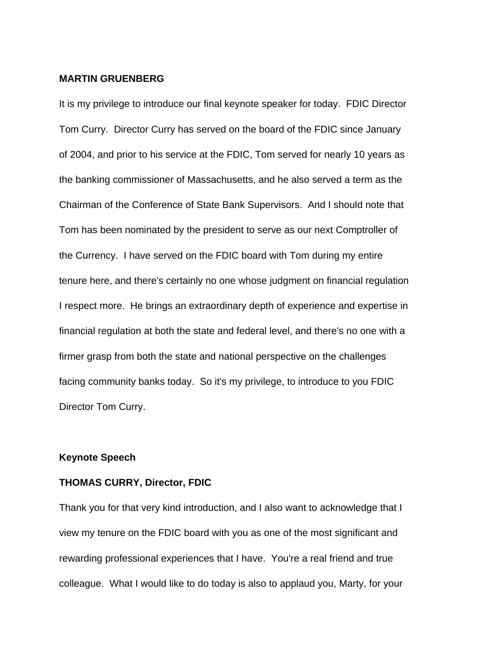## **MARTIN GRUENBERG**

It is my privilege to introduce our final keynote speaker for today. FDIC Director Tom Curry. Director Curry has served on the board of the FDIC since January of 2004, and prior to his service at the FDIC, Tom served for nearly 10 years as the banking commissioner of Massachusetts, and he also served a term as the Chairman of the Conference of State Bank Supervisors. And I should note that Tom has been nominated by the president to serve as our next Comptroller of the Currency. I have served on the FDIC board with Tom during my entire tenure here, and there's certainly no one whose judgment on financial regulation I respect more. He brings an extraordinary depth of experience and expertise in financial regulation at both the state and federal level, and there's no one with a firmer grasp from both the state and national perspective on the challenges facing community banks today. So it's my privilege, to introduce to you FDIC Director Tom Curry.

## **Keynote Speech**

## **THOMAS CURRY, Director, FDIC**

Thank you for that very kind introduction, and I also want to acknowledge that I view my tenure on the FDIC board with you as one of the most significant and rewarding professional experiences that I have. You're a real friend and true colleague. What I would like to do today is also to applaud you, Marty, for your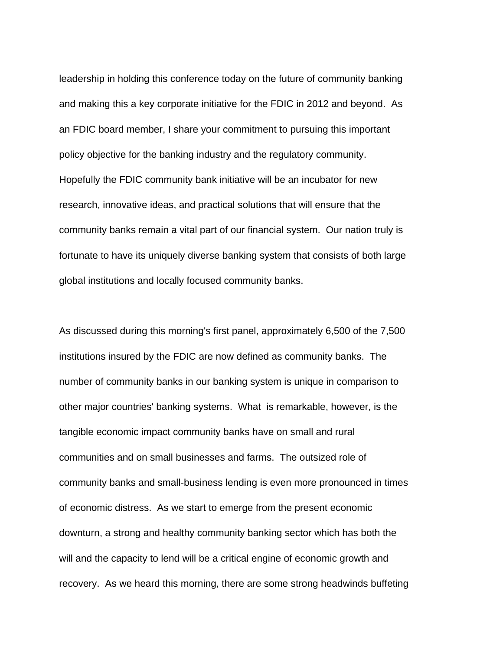leadership in holding this conference today on the future of community banking and making this a key corporate initiative for the FDIC in 2012 and beyond. As an FDIC board member, I share your commitment to pursuing this important policy objective for the banking industry and the regulatory community. Hopefully the FDIC community bank initiative will be an incubator for new research, innovative ideas, and practical solutions that will ensure that the community banks remain a vital part of our financial system. Our nation truly is fortunate to have its uniquely diverse banking system that consists of both large global institutions and locally focused community banks.

As discussed during this morning's first panel, approximately 6,500 of the 7,500 institutions insured by the FDIC are now defined as community banks. The number of community banks in our banking system is unique in comparison to other major countries' banking systems. What is remarkable, however, is the tangible economic impact community banks have on small and rural communities and on small businesses and farms. The outsized role of community banks and small-business lending is even more pronounced in times of economic distress. As we start to emerge from the present economic downturn, a strong and healthy community banking sector which has both the will and the capacity to lend will be a critical engine of economic growth and recovery. As we heard this morning, there are some strong headwinds buffeting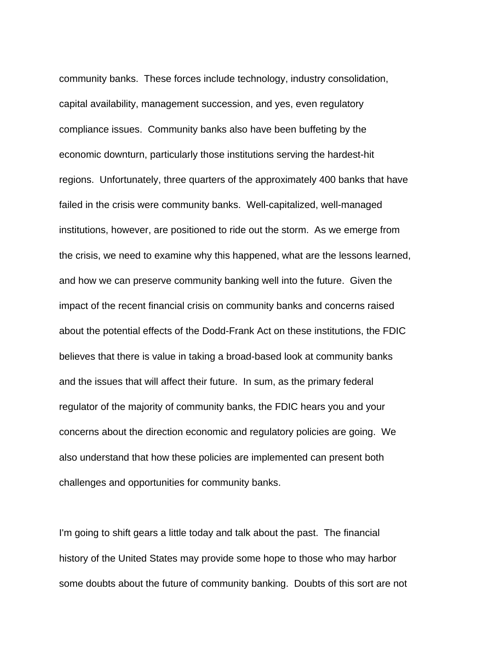community banks. These forces include technology, industry consolidation, capital availability, management succession, and yes, even regulatory compliance issues. Community banks also have been buffeting by the economic downturn, particularly those institutions serving the hardest-hit regions. Unfortunately, three quarters of the approximately 400 banks that have failed in the crisis were community banks. Well-capitalized, well-managed institutions, however, are positioned to ride out the storm. As we emerge from the crisis, we need to examine why this happened, what are the lessons learned, and how we can preserve community banking well into the future. Given the impact of the recent financial crisis on community banks and concerns raised about the potential effects of the Dodd-Frank Act on these institutions, the FDIC believes that there is value in taking a broad-based look at community banks and the issues that will affect their future. In sum, as the primary federal regulator of the majority of community banks, the FDIC hears you and your concerns about the direction economic and regulatory policies are going. We also understand that how these policies are implemented can present both challenges and opportunities for community banks.

I'm going to shift gears a little today and talk about the past. The financial history of the United States may provide some hope to those who may harbor some doubts about the future of community banking. Doubts of this sort are not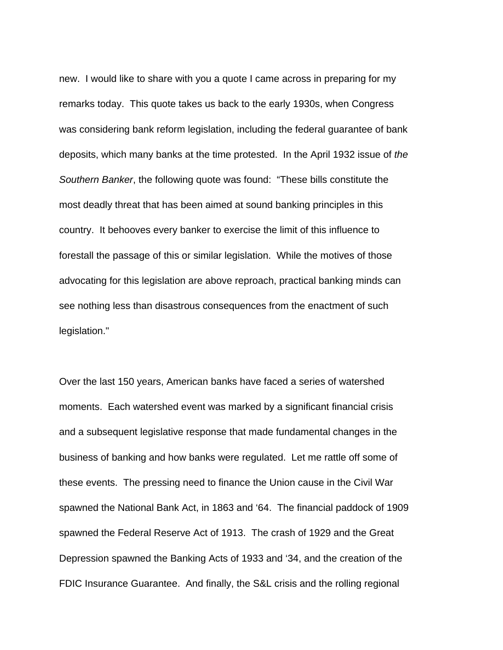new. I would like to share with you a quote I came across in preparing for my remarks today. This quote takes us back to the early 1930s, when Congress was considering bank reform legislation, including the federal guarantee of bank deposits, which many banks at the time protested. In the April 1932 issue of *the Southern Banker*, the following quote was found: "These bills constitute the most deadly threat that has been aimed at sound banking principles in this country. It behooves every banker to exercise the limit of this influence to forestall the passage of this or similar legislation. While the motives of those advocating for this legislation are above reproach, practical banking minds can see nothing less than disastrous consequences from the enactment of such legislation."

Over the last 150 years, American banks have faced a series of watershed moments. Each watershed event was marked by a significant financial crisis and a subsequent legislative response that made fundamental changes in the business of banking and how banks were regulated. Let me rattle off some of these events. The pressing need to finance the Union cause in the Civil War spawned the National Bank Act, in 1863 and '64. The financial paddock of 1909 spawned the Federal Reserve Act of 1913. The crash of 1929 and the Great Depression spawned the Banking Acts of 1933 and '34, and the creation of the FDIC Insurance Guarantee. And finally, the S&L crisis and the rolling regional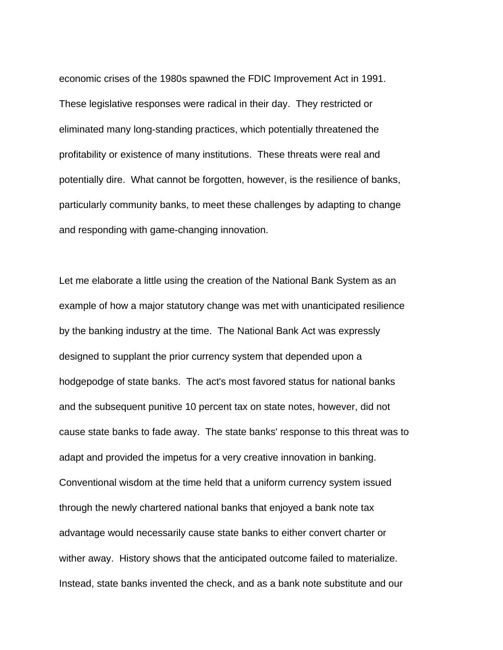economic crises of the 1980s spawned the FDIC Improvement Act in 1991. These legislative responses were radical in their day. They restricted or eliminated many long-standing practices, which potentially threatened the profitability or existence of many institutions. These threats were real and potentially dire. What cannot be forgotten, however, is the resilience of banks, particularly community banks, to meet these challenges by adapting to change and responding with game-changing innovation.

Let me elaborate a little using the creation of the National Bank System as an example of how a major statutory change was met with unanticipated resilience by the banking industry at the time. The National Bank Act was expressly designed to supplant the prior currency system that depended upon a hodgepodge of state banks. The act's most favored status for national banks and the subsequent punitive 10 percent tax on state notes, however, did not cause state banks to fade away. The state banks' response to this threat was to adapt and provided the impetus for a very creative innovation in banking. Conventional wisdom at the time held that a uniform currency system issued through the newly chartered national banks that enjoyed a bank note tax advantage would necessarily cause state banks to either convert charter or wither away. History shows that the anticipated outcome failed to materialize. Instead, state banks invented the check, and as a bank note substitute and our